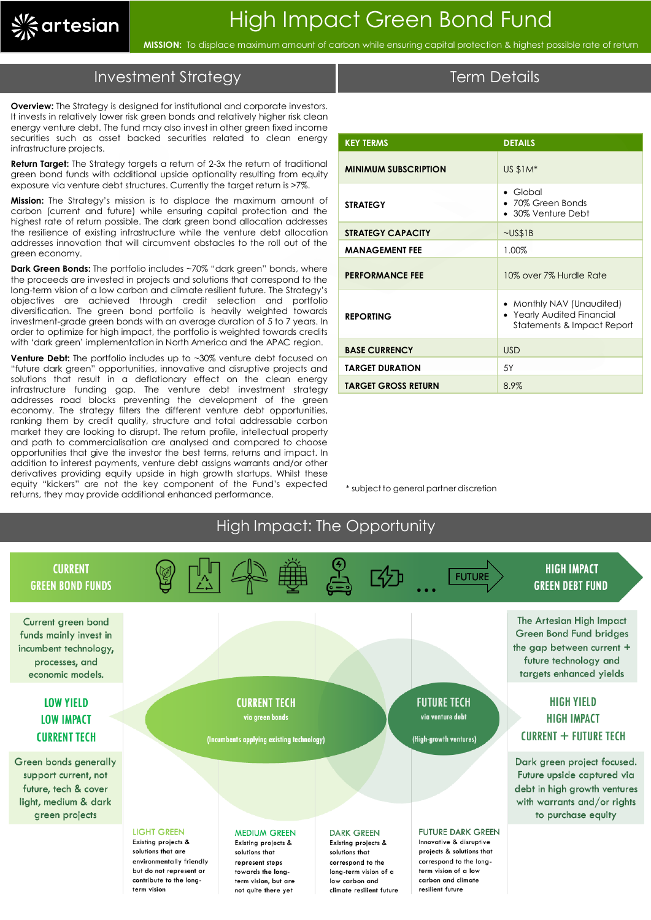

**MISSION:** To displace maximum amount of carbon while ensuring capital protection & highest possible rate of return

### Investment Strategy

**Overview:** The Strategy is designed for institutional and corporate investors. It invests in relatively lower risk green bonds and relatively higher risk clean energy venture debt. The fund may also invest in other green fixed income securities such as asset backed securities related to clean energy infrastructure projects.

**Return Target:** The Strategy targets a return of 2-3x the return of traditional green bond funds with additional upside optionality resulting from equity exposure via venture debt structures. Currently the target return is >7%.

**Mission:** The Strategy's mission is to displace the maximum amount of carbon (current and future) while ensuring capital protection and the highest rate of return possible. The dark green bond allocation addresses the resilience of existing infrastructure while the venture debt allocation addresses innovation that will circumvent obstacles to the roll out of the green economy.

**Dark Green Bonds:** The portfolio includes ~70% "dark green" bonds, where the proceeds are invested in projects and solutions that correspond to the long-term vision of a low carbon and climate resilient future. The Strategy's objectives are achieved through credit selection and portfolio diversification. The green bond portfolio is heavily weighted towards investment-grade green bonds with an average duration of 5 to 7 years. In order to optimize for high impact, the portfolio is weighted towards credits with 'dark green' implementation in North America and the APAC region.

**Venture Debt:** The portfolio includes up to ~30% venture debt focused on "future dark green" opportunities, innovative and disruptive projects and solutions that result in a deflationary effect on the clean energy infrastructure funding gap. The venture debt investment strategy addresses road blocks preventing the development of the green economy. The strategy filters the different venture debt opportunities, ranking them by credit quality, structure and total addressable carbon market they are looking to disrupt. The return profile, intellectual property and path to commercialisation are analysed and compared to choose opportunities that give the investor the best terms, returns and impact. In addition to interest payments, venture debt assigns warrants and/or other derivatives providing equity upside in high growth startups. Whilst these equity "kickers" are not the key component of the Fund's expected returns, they may provide additional enhanced performance.

| <b>KEY TERMS</b>            | <b>DETAILS</b>                                                                        |
|-----------------------------|---------------------------------------------------------------------------------------|
| <b>MINIMUM SUBSCRIPTION</b> | US \$1M*                                                                              |
| <b>STRATEGY</b>             | Global<br>$\bullet$<br>• 70% Green Bonds<br>• 30% Venture Debt                        |
| <b>STRATEGY CAPACITY</b>    | $\sim$ US\$1B                                                                         |
| <b>MANAGEMENT FEE</b>       | 1.00%                                                                                 |
| <b>PERFORMANCE FEE</b>      | 10% over 7% Hurdle Rate                                                               |
| <b>REPORTING</b>            | • Monthly NAV (Unaudited)<br>• Yearly Audited Financial<br>Statements & Impact Report |
| <b>BASE CURRENCY</b>        | <b>USD</b>                                                                            |
| <b>TARGET DURATION</b>      | 5Y                                                                                    |
| <b>TARGET GROSS RETURN</b>  | 8.9%                                                                                  |

\* subject to general partner discretion



#### Term Details